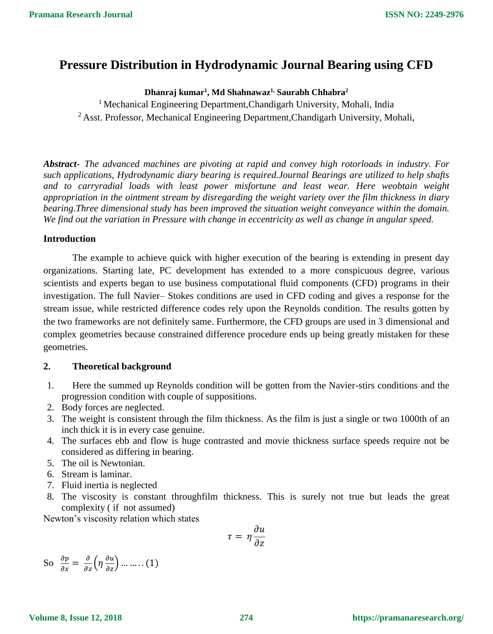# **Pressure Distribution in Hydrodynamic Journal Bearing using CFD**

## **Dhanraj kumar<sup>1</sup> , Md Shahnawaz1, Saurabh Chhabra<sup>2</sup>**

<sup>1</sup> Mechanical Engineering Department, Chandigarh University, Mohali, India <sup>2</sup> Asst. Professor, Mechanical Engineering Department, Chandigarh University, Mohali,

*Abstract- The advanced machines are pivoting at rapid and convey high rotorloads in industry. For such applications, Hydrodynamic diary bearing is required.Journal Bearings are utilized to help shafts and to carryradial loads with least power misfortune and least wear. Here weobtain weight appropriation in the ointment stream by disregarding the weight variety over the film thickness in diary bearing.Three dimensional study has been improved the situation weight conveyance within the domain. We find out the variation in Pressure with change in eccentricity as well as change in angular speed.*

### **Introduction**

The example to achieve quick with higher execution of the bearing is extending in present day organizations. Starting late, PC development has extended to a more conspicuous degree, various scientists and experts began to use business computational fluid components (CFD) programs in their investigation. The full Navier– Stokes conditions are used in CFD coding and gives a response for the stream issue, while restricted difference codes rely upon the Reynolds condition. The results gotten by the two frameworks are not definitely same. Furthermore, the CFD groups are used in 3 dimensional and complex geometries because constrained difference procedure ends up being greatly mistaken for these geometries.

### **2. Theoretical background**

- 1. Here the summed up Reynolds condition will be gotten from the Navier-stirs conditions and the progression condition with couple of suppositions.
- 2. Body forces are neglected.
- 3. The weight is consistent through the film thickness. As the film is just a single or two 1000th of an inch thick it is in every case genuine.
- 4. The surfaces ebb and flow is huge contrasted and movie thickness surface speeds require not be considered as differing in bearing.
- 5. The oil is Newtonian.
- 6. Stream is laminar.
- 7. Fluid inertia is neglected
- 8. The viscosity is constant throughfilm thickness. This is surely not true but leads the great complexity ( if not assumed)

Newton's viscosity relation which states

$$
\tau = \eta \frac{\partial u}{\partial z}
$$

So  $\frac{\partial p}{\partial x} = \frac{\partial}{\partial z} \left( \eta \frac{\partial u}{\partial z} \right) \dots \dots \dots (1)$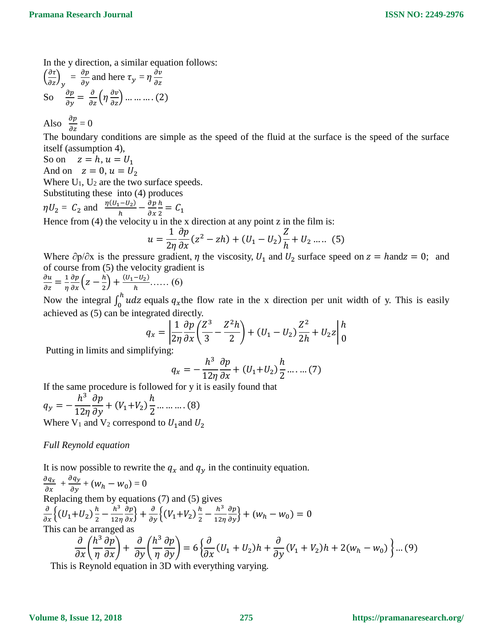In the y direction, a similar equation follows:

$$
\left(\frac{\partial \tau}{\partial z}\right)_y = \frac{\partial p}{\partial y} \text{ and here } \tau_y = \eta \frac{\partial v}{\partial z}
$$
  
So 
$$
\frac{\partial p}{\partial y} = \frac{\partial}{\partial z} \left(\eta \frac{\partial v}{\partial z}\right) \dots \dots \dots \dots (2)
$$

Also  $\frac{\partial p}{\partial z} = 0$ 

The boundary conditions are simple as the speed of the fluid at the surface is the speed of the surface itself (assumption 4),

So on  $z = h$ ,  $u = U_1$ 

And on  $z = 0$ ,  $u = U_2$ 

Where  $U_1$ ,  $U_2$  are the two surface speeds.

Substituting these into (4) produces

 $\eta U_2 = C_2$  and  $\frac{\eta (U_1 - U_2)}{h}$  $\frac{1-U_2}{h} - \frac{\partial p}{\partial x}$  $\partial x$ ℎ  $\frac{n}{2} = C_1$ 

Hence from  $(4)$  the velocity u in the x direction at any point z in the film is:

$$
u = \frac{1}{2\eta} \frac{\partial p}{\partial x} (z^2 - zh) + (U_1 - U_2) \frac{Z}{h} + U_2 \dots (5)
$$

Where  $\partial p/\partial x$  is the pressure gradient,  $\eta$  the viscosity,  $U_1$  and  $U_2$  surface speed on  $z =$  hand  $z = 0$ ; and of course from (5) the velocity gradient is

 $\frac{\partial u}{\partial z} = \frac{1}{\eta}$ η  $\frac{\partial p}{\partial x}\Big( z - \frac{h}{2}$  $\frac{h}{2} + \frac{(U_1 - U_2)}{h}$  ...... (6)

Now the integral  $\int_0^h u dz$  equals  $q_x$ the flow rate in the x direction per unit width of y. This is easily achieved as (5) can be integrated directly.

$$
q_x = \left| \frac{1}{2\eta} \frac{\partial p}{\partial x} \left( \frac{Z^3}{3} - \frac{Z^2 h}{2} \right) + (U_1 - U_2) \frac{Z^2}{2h} + U_2 z \right|_0^h
$$

Putting in limits and simplifying:

$$
q_x = -\frac{h^3}{12\eta} \frac{\partial p}{\partial x} + (U_1 + U_2) \frac{h}{2} \dots \dots (7)
$$

If the same procedure is followed for y it is easily found that

 $q_y =$  $h^3$  $12\eta$  $\partial p$  $\frac{\partial P}{\partial y} + (V_1 + V_2)$  $\boldsymbol{h}$ 2 … … … . (8) Where  $V_1$  and  $V_2$  correspond to  $U_1$  and  $U_2$ 

### *Full Reynold equation*

It is now possible to rewrite the  $q_x$  and  $q_y$  in the continuity equation.

$$
\frac{\partial q_x}{\partial x} + \frac{\partial q_y}{\partial y} + (w_h - w_0) = 0
$$
  
Replacing them by equations (7) and (5) gives  

$$
\frac{\partial}{\partial x} \left\{ (U_1 + U_2) \frac{h}{2} - \frac{h^3}{12\eta} \frac{\partial p}{\partial x} \right\} + \frac{\partial}{\partial y} \left\{ (V_1 + V_2) \frac{h}{2} - \frac{h^3}{12\eta} \frac{\partial p}{\partial y} \right\} + (w_h - w_0) = 0
$$
This can be arranged as  

$$
\frac{\partial}{\partial x} \left( \frac{h^3}{\eta} \frac{\partial p}{\partial x} \right) + \frac{\partial}{\partial y} \left( \frac{h^3}{\eta} \frac{\partial p}{\partial y} \right) = 6 \left\{ \frac{\partial}{\partial x} (U_1 + U_2) h + \frac{\partial}{\partial y} (V_1 + V_2) h + 2(w_h - w_0) \right\} \dots (9)
$$

This is Reynold equation in 3D with everything varying.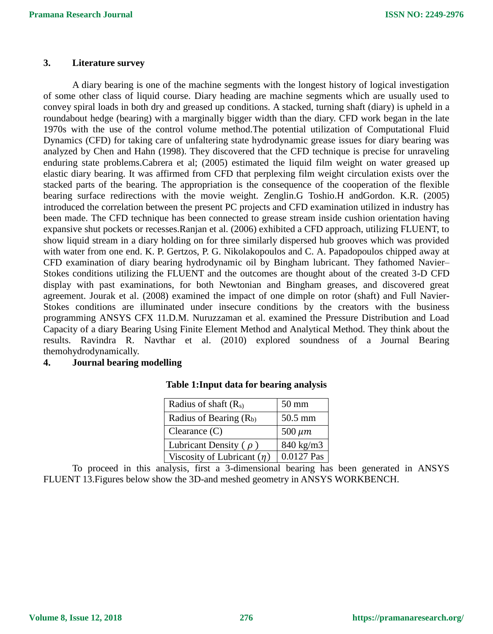#### **3. Literature survey**

A diary bearing is one of the machine segments with the longest history of logical investigation of some other class of liquid course. Diary heading are machine segments which are usually used to convey spiral loads in both dry and greased up conditions. A stacked, turning shaft (diary) is upheld in a roundabout hedge (bearing) with a marginally bigger width than the diary. CFD work began in the late 1970s with the use of the control volume method.The potential utilization of Computational Fluid Dynamics (CFD) for taking care of unfaltering state hydrodynamic grease issues for diary bearing was analyzed by Chen and Hahn (1998). They discovered that the CFD technique is precise for unraveling enduring state problems.Cabrera et al; (2005) estimated the liquid film weight on water greased up elastic diary bearing. It was affirmed from CFD that perplexing film weight circulation exists over the stacked parts of the bearing. The appropriation is the consequence of the cooperation of the flexible bearing surface redirections with the movie weight. Zenglin.G Toshio.H andGordon. K.R. (2005) introduced the correlation between the present PC projects and CFD examination utilized in industry has been made. The CFD technique has been connected to grease stream inside cushion orientation having expansive shut pockets or recesses.Ranjan et al. (2006) exhibited a CFD approach, utilizing FLUENT, to show liquid stream in a diary holding on for three similarly dispersed hub grooves which was provided with water from one end. K. P. Gertzos, P. G. Nikolakopoulos and C. A. Papadopoulos chipped away at CFD examination of diary bearing hydrodynamic oil by Bingham lubricant. They fathomed Navier– Stokes conditions utilizing the FLUENT and the outcomes are thought about of the created 3-D CFD display with past examinations, for both Newtonian and Bingham greases, and discovered great agreement. Jourak et al. (2008) examined the impact of one dimple on rotor (shaft) and Full Navier-Stokes conditions are illuminated under insecure conditions by the creators with the business programming ANSYS CFX 11.D.M. Nuruzzaman et al. examined the Pressure Distribution and Load Capacity of a diary Bearing Using Finite Element Method and Analytical Method. They think about the results. Ravindra R. Navthar et al. (2010) explored soundness of a Journal Bearing themohydrodynamically.

## **4. Journal bearing modelling**

| Radius of shaft $(R_s)$         | $50 \text{ mm}$ |
|---------------------------------|-----------------|
| Radius of Bearing $(R_b)$       | 50.5 mm         |
| Clearance $(C)$                 | $500 \ \mu m$   |
| Lubricant Density $(\rho)$      | 840 kg/m3       |
| Viscosity of Lubricant $(\eta)$ | 0.0127 Pas      |

#### **Table 1:Input data for bearing analysis**

To proceed in this analysis, first a 3-dimensional bearing has been generated in ANSYS FLUENT 13.Figures below show the 3D-and meshed geometry in ANSYS WORKBENCH.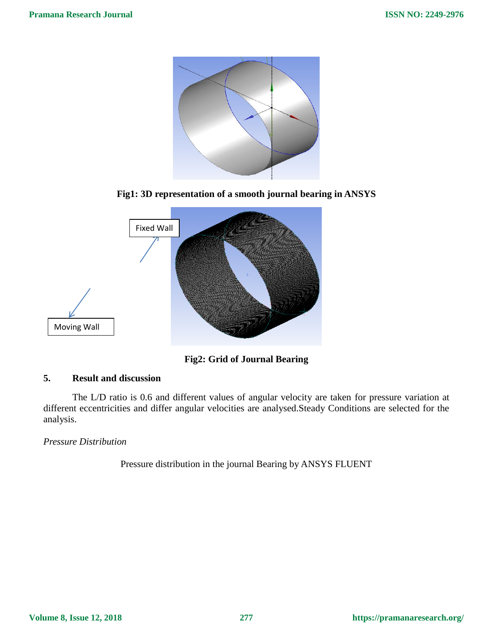

**Fig1: 3D representation of a smooth journal bearing in ANSYS**



**Fig2: Grid of Journal Bearing**

## **5. Result and discussion**

The L/D ratio is 0.6 and different values of angular velocity are taken for pressure variation at different eccentricities and differ angular velocities are analysed.Steady Conditions are selected for the analysis.

*Pressure Distribution*

Pressure distribution in the journal Bearing by ANSYS FLUENT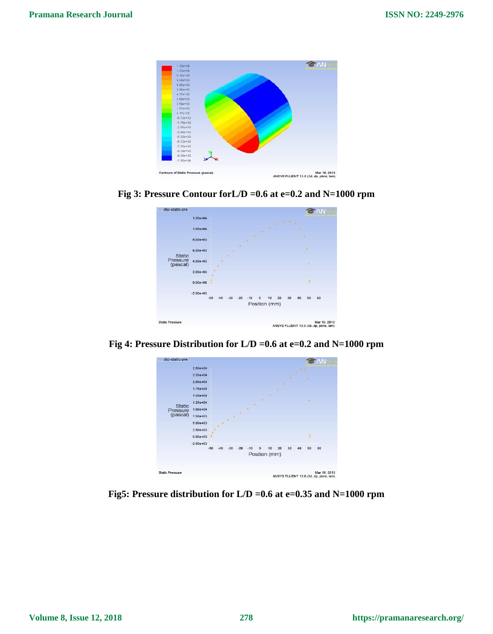

**Fig 3: Pressure Contour forL/D =0.6 at e=0.2 and N=1000 rpm**



**Fig 4: Pressure Distribution for L/D =0.6 at e=0.2 and N=1000 rpm**



**Fig5: Pressure distribution for L/D =0.6 at e=0.35 and N=1000 rpm**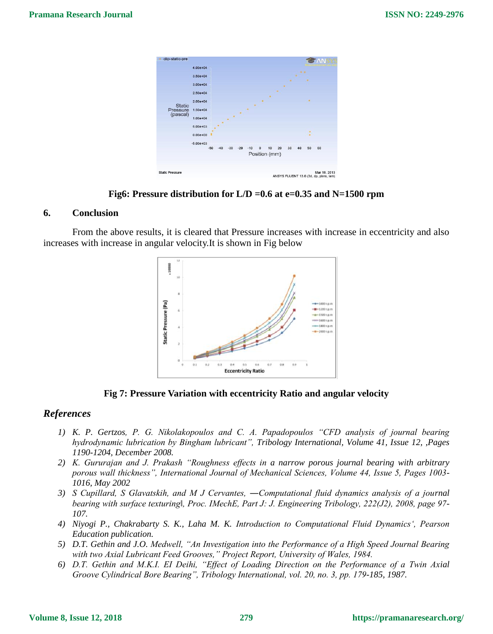

**Fig6: Pressure distribution for L/D =0.6 at e=0.35 and N=1500 rpm**

#### **6. Conclusion**

From the above results, it is cleared that Pressure increases with increase in eccentricity and also increases with increase in angular velocity.It is shown in Fig below



**Fig 7: Pressure Variation with eccentricity Ratio and angular velocity**

### *References*

- *1) K. P. Gertzos, P. G. Nikolakopoulos and C. A. Papadopoulos "CFD analysis of journal bearing hydrodynamic lubrication by Bingham lubricant", Tribology International, Volume 41, Issue 12, ,Pages 1190-1204, December 2008.*
- *2) K. Gururajan and J. Prakash "Roughness effects in a narrow porous journal bearing with arbitrary porous wall thickness", International Journal of Mechanical Sciences, Volume 44, Issue 5, Pages 1003- 1016, May 2002*
- *3) S Cupillard, S Glavatskih, and M J Cervantes, ―Computational fluid dynamics analysis of a journal bearing with surface texturing‖, Proc. IMechE, Part J: J. Engineering Tribology, 222(J2), 2008, page 97- 107.*
- *4) Niyogi P., Chakrabarty S. K., Laha M. K. Introduction to Computational Fluid Dynamics', Pearson Education publication.*
- *5) D.T. Gethin and J.O. Medwell, "An Investigation into the Performance of a High Speed Journal Bearing with two Axial Lubricant Feed Grooves," Project Report, University of Wales, 1984.*
- *6) D.T. Gethin and M.K.I. EI Deihi, "Effect of Loading Direction on the Performance of a Twin Axial Groove Cylindrical Bore Bearing", Tribology International, vol. 20, no. 3, pp. 179-185, 1987.*